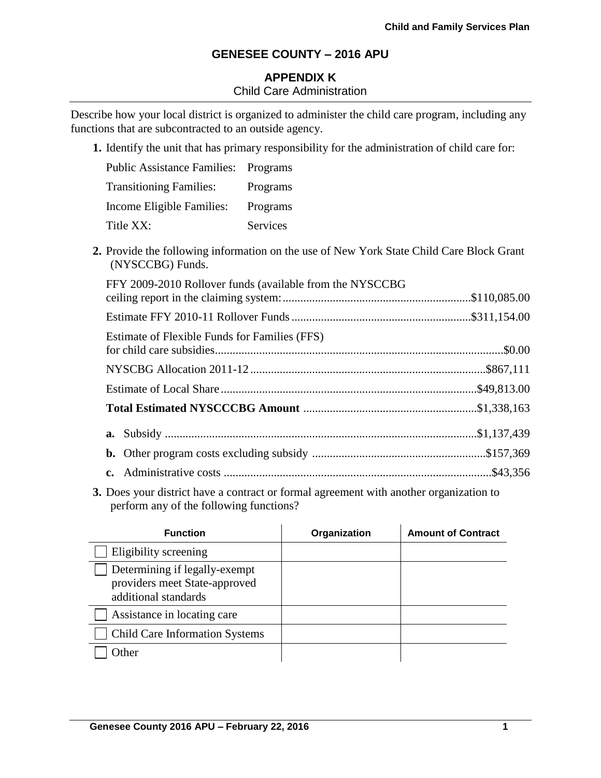# **APPENDIX K** Child Care Administration

Describe how your local district is organized to administer the child care program, including any functions that are subcontracted to an outside agency.

**1.** Identify the unit that has primary responsibility for the administration of child care for:

| <b>Public Assistance Families: Programs</b> |          |
|---------------------------------------------|----------|
| <b>Transitioning Families:</b>              | Programs |
| Income Eligible Families:                   | Programs |
| Title XX:                                   | Services |

**2.** Provide the following information on the use of New York State Child Care Block Grant (NYSCCBG) Funds.

| FFY 2009-2010 Rollover funds (available from the NYSCCBG |  |
|----------------------------------------------------------|--|
|                                                          |  |
| Estimate of Flexible Funds for Families (FFS)            |  |
|                                                          |  |
|                                                          |  |
|                                                          |  |
|                                                          |  |
|                                                          |  |
|                                                          |  |

**3.** Does your district have a contract or formal agreement with another organization to perform any of the following functions?

| <b>Function</b>                                                                        | Organization | <b>Amount of Contract</b> |
|----------------------------------------------------------------------------------------|--------------|---------------------------|
| Eligibility screening                                                                  |              |                           |
| Determining if legally-exempt<br>providers meet State-approved<br>additional standards |              |                           |
| Assistance in locating care                                                            |              |                           |
| <b>Child Care Information Systems</b>                                                  |              |                           |
| $Q$ ther                                                                               |              |                           |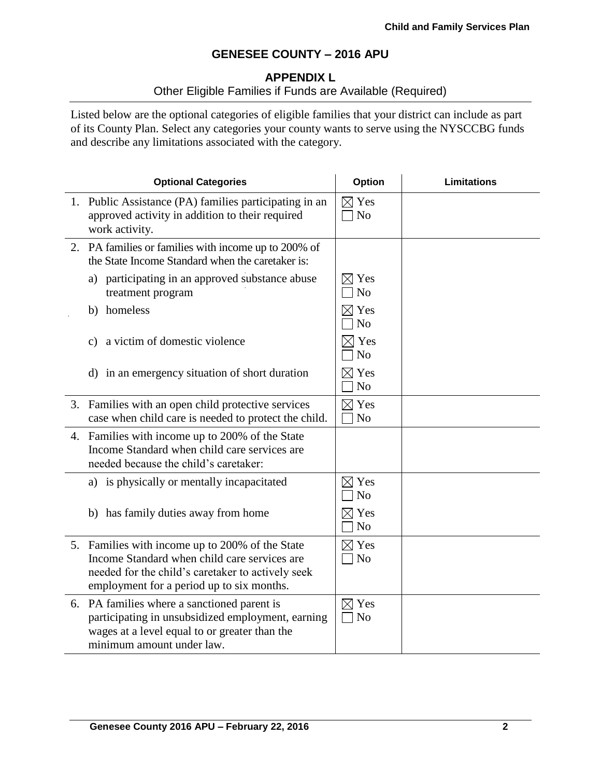## **APPENDIX L**

# Other Eligible Families if Funds are Available (Required)

Listed below are the optional categories of eligible families that your district can include as part of its County Plan. Select any categories your county wants to serve using the NYSCCBG funds and describe any limitations associated with the category.

| <b>Optional Categories</b>                                                                                                                                                                        |                                   | <b>Limitations</b> |
|---------------------------------------------------------------------------------------------------------------------------------------------------------------------------------------------------|-----------------------------------|--------------------|
| 1. Public Assistance (PA) families participating in an<br>approved activity in addition to their required<br>work activity.                                                                       | $\boxtimes$ Yes<br>N <sub>o</sub> |                    |
| 2. PA families or families with income up to 200% of<br>the State Income Standard when the caretaker is:                                                                                          |                                   |                    |
| a) participating in an approved substance abuse<br>treatment program                                                                                                                              | $\boxtimes$ Yes<br>N <sub>o</sub> |                    |
| b) homeless                                                                                                                                                                                       | $\boxtimes$ Yes<br>N <sub>o</sub> |                    |
| a victim of domestic violence<br>c)                                                                                                                                                               | $\times$ Yes<br>N <sub>o</sub>    |                    |
| d) in an emergency situation of short duration                                                                                                                                                    | $\boxtimes$ Yes<br>N <sub>o</sub> |                    |
| 3. Families with an open child protective services<br>case when child care is needed to protect the child.                                                                                        | $\boxtimes$ Yes<br>N <sub>o</sub> |                    |
| 4. Families with income up to 200% of the State<br>Income Standard when child care services are<br>needed because the child's caretaker:                                                          |                                   |                    |
| a) is physically or mentally incapacitated                                                                                                                                                        | $\boxtimes$ Yes<br>N <sub>o</sub> |                    |
| b) has family duties away from home                                                                                                                                                               | $\boxtimes$ Yes<br>N <sub>o</sub> |                    |
| 5. Families with income up to 200% of the State<br>Income Standard when child care services are<br>needed for the child's caretaker to actively seek<br>employment for a period up to six months. | $\boxtimes$ Yes<br>$\exists$ No   |                    |
| 6. PA families where a sanctioned parent is<br>participating in unsubsidized employment, earning<br>wages at a level equal to or greater than the<br>minimum amount under law.                    | $\boxtimes$ Yes<br>$\neg$ No      |                    |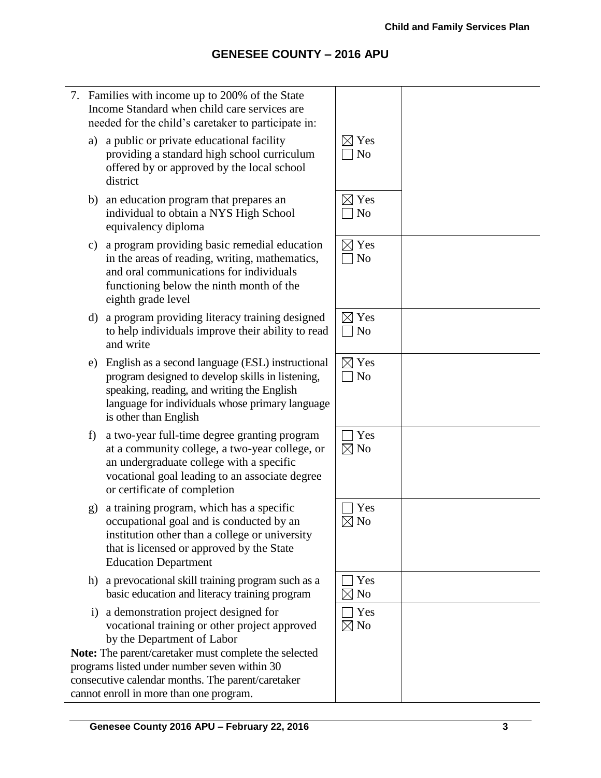7. Families with income up to 200% of the State Income Standard when child care services are needed for the child's caretaker to participate in: a) a public or private educational facility providing a standard high school curriculum offered by or approved by the local school district  $\boxtimes$  Yes  $\Box$  No b) an education program that prepares an individual to obtain a NYS High School equivalency diploma  $\boxtimes$  Yes  $\Box$  No c) a program providing basic remedial education in the areas of reading, writing, mathematics, and oral communications for individuals functioning below the ninth month of the eighth grade level  $\boxtimes$  Yes  $\Box$  No d) a program providing literacy training designed to help individuals improve their ability to read and write  $\boxtimes$  Yes  $\Box$  No e) English as a second language (ESL) instructional program designed to develop skills in listening, speaking, reading, and writing the English language for individuals whose primary language is other than English  $\boxtimes$  Yes  $\Box$  No f) a two-year full-time degree granting program at a community college, a two-year college, or an undergraduate college with a specific vocational goal leading to an associate degree or certificate of completion  $\Box$  Yes  $\boxtimes$  No g) a training program, which has a specific occupational goal and is conducted by an institution other than a college or university that is licensed or approved by the State Education Department  $\Box$  Yes  $\nabla$  No h) a prevocational skill training program such as a basic education and literacy training program  $\Box$  Yes  $\boxtimes$  No i) a demonstration project designed for vocational training or other project approved by the Department of Labor **Note:** The parent/caretaker must complete the selected programs listed under number seven within 30 consecutive calendar months. The parent/caretaker cannot enroll in more than one program.  $\Box$  Yes  $\boxtimes$  No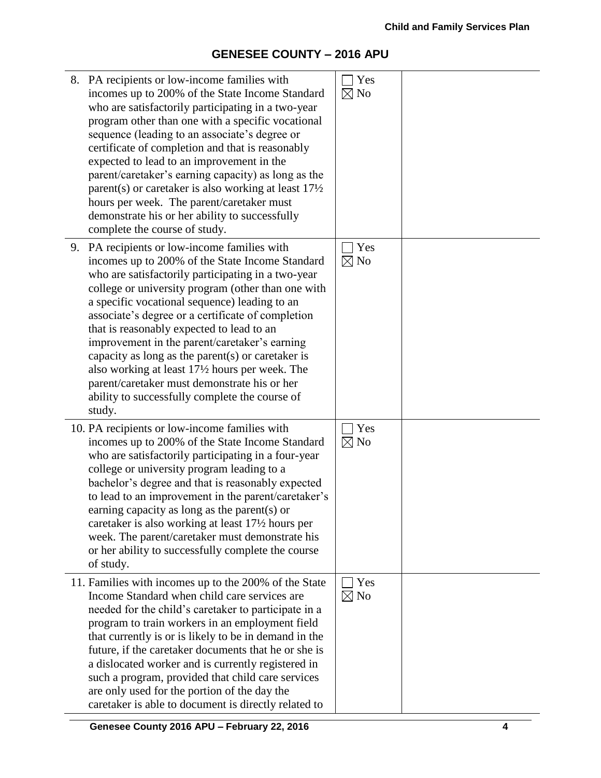| 8. PA recipients or low-income families with<br>incomes up to 200% of the State Income Standard<br>who are satisfactorily participating in a two-year<br>program other than one with a specific vocational<br>sequence (leading to an associate's degree or<br>certificate of completion and that is reasonably<br>expected to lead to an improvement in the<br>parent/caretaker's earning capacity) as long as the<br>parent(s) or caretaker is also working at least $17\frac{1}{2}$<br>hours per week. The parent/caretaker must<br>demonstrate his or her ability to successfully<br>complete the course of study.               | Yes<br>$\boxtimes$ No |  |
|--------------------------------------------------------------------------------------------------------------------------------------------------------------------------------------------------------------------------------------------------------------------------------------------------------------------------------------------------------------------------------------------------------------------------------------------------------------------------------------------------------------------------------------------------------------------------------------------------------------------------------------|-----------------------|--|
| 9. PA recipients or low-income families with<br>incomes up to 200% of the State Income Standard<br>who are satisfactorily participating in a two-year<br>college or university program (other than one with<br>a specific vocational sequence) leading to an<br>associate's degree or a certificate of completion<br>that is reasonably expected to lead to an<br>improvement in the parent/caretaker's earning<br>capacity as long as the parent $(s)$ or caretaker is<br>also working at least 17½ hours per week. The<br>parent/caretaker must demonstrate his or her<br>ability to successfully complete the course of<br>study. | Yes<br>$\boxtimes$ No |  |
| 10. PA recipients or low-income families with<br>incomes up to 200% of the State Income Standard<br>who are satisfactorily participating in a four-year<br>college or university program leading to a<br>bachelor's degree and that is reasonably expected<br>to lead to an improvement in the parent/caretaker's<br>earning capacity as long as the parent(s) or<br>caretaker is also working at least 17 <sup>1</sup> / <sub>2</sub> hours per<br>week. The parent/caretaker must demonstrate his<br>or her ability to successfully complete the course<br>of study.                                                               | Yes<br>$\boxtimes$ No |  |
| 11. Families with incomes up to the 200% of the State<br>Income Standard when child care services are<br>needed for the child's caretaker to participate in a<br>program to train workers in an employment field<br>that currently is or is likely to be in demand in the<br>future, if the caretaker documents that he or she is<br>a dislocated worker and is currently registered in<br>such a program, provided that child care services<br>are only used for the portion of the day the<br>caretaker is able to document is directly related to                                                                                 | Yes<br>$\boxtimes$ No |  |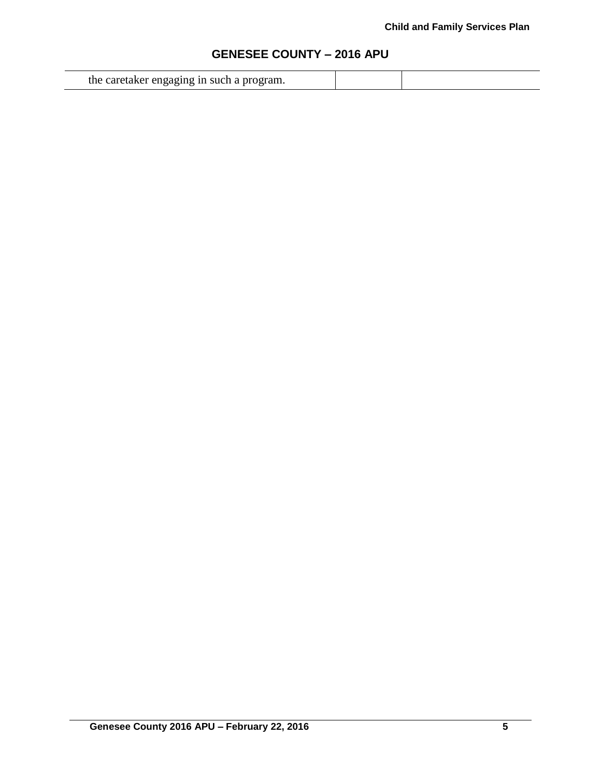|  | the caretaker engaging in such a program. |  |  |
|--|-------------------------------------------|--|--|
|--|-------------------------------------------|--|--|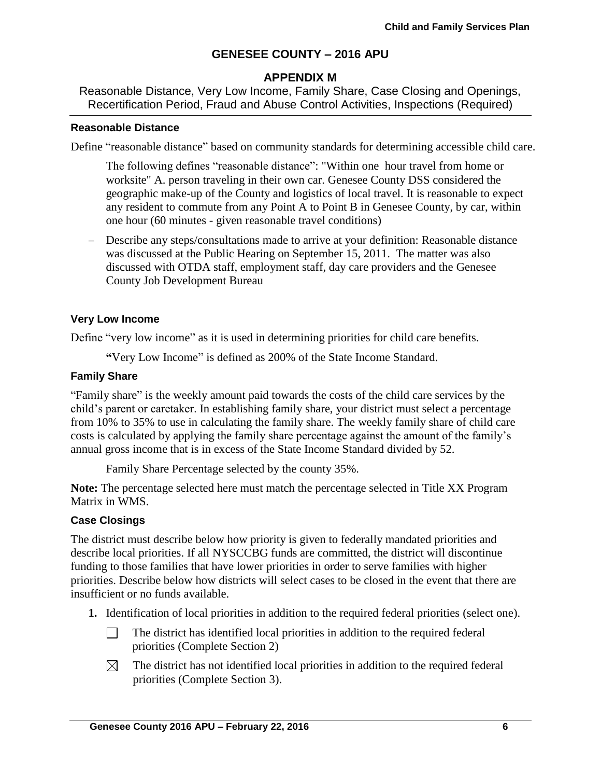## **APPENDIX M**

Reasonable Distance, Very Low Income, Family Share, Case Closing and Openings, Recertification Period, Fraud and Abuse Control Activities, Inspections (Required)

### **Reasonable Distance**

Define "reasonable distance" based on community standards for determining accessible child care.

The following defines "reasonable distance": "Within one hour travel from home or worksite" A. person traveling in their own car. Genesee County DSS considered the geographic make-up of the County and logistics of local travel. It is reasonable to expect any resident to commute from any Point A to Point B in Genesee County, by car, within one hour (60 minutes - given reasonable travel conditions)

 Describe any steps/consultations made to arrive at your definition: Reasonable distance was discussed at the Public Hearing on September 15, 2011. The matter was also discussed with OTDA staff, employment staff, day care providers and the Genesee County Job Development Bureau

### **Very Low Income**

Define "very low income" as it is used in determining priorities for child care benefits.

**"**Very Low Income" is defined as 200% of the State Income Standard.

#### **Family Share**

"Family share" is the weekly amount paid towards the costs of the child care services by the child's parent or caretaker. In establishing family share, your district must select a percentage from 10% to 35% to use in calculating the family share. The weekly family share of child care costs is calculated by applying the family share percentage against the amount of the family's annual gross income that is in excess of the State Income Standard divided by 52.

Family Share Percentage selected by the county 35%.

**Note:** The percentage selected here must match the percentage selected in Title XX Program Matrix in WMS.

### **Case Closings**

The district must describe below how priority is given to federally mandated priorities and describe local priorities. If all NYSCCBG funds are committed, the district will discontinue funding to those families that have lower priorities in order to serve families with higher priorities. Describe below how districts will select cases to be closed in the event that there are insufficient or no funds available.

- **1.** Identification of local priorities in addition to the required federal priorities (select one).
	- $\Box$ The district has identified local priorities in addition to the required federal priorities (Complete Section 2)
	- $\boxtimes$ The district has not identified local priorities in addition to the required federal priorities (Complete Section 3).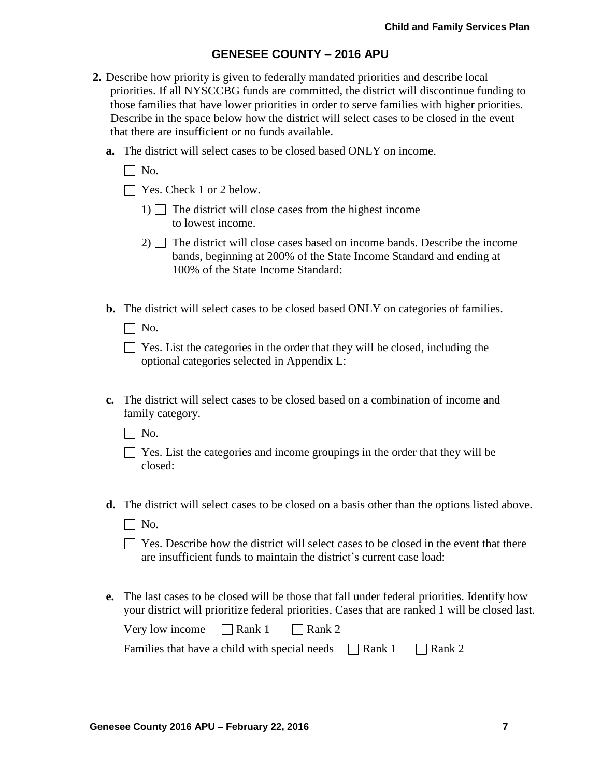- **2.** Describe how priority is given to federally mandated priorities and describe local priorities. If all NYSCCBG funds are committed, the district will discontinue funding to those families that have lower priorities in order to serve families with higher priorities. Describe in the space below how the district will select cases to be closed in the event that there are insufficient or no funds available.
	- **a.** The district will select cases to be closed based ONLY on income.
		- $\Box$  No.
		- $\Box$  Yes. Check 1 or 2 below.
			- 1)  $\Box$  The district will close cases from the highest income to lowest income.
			- $2)$  The district will close cases based on income bands. Describe the income bands, beginning at 200% of the State Income Standard and ending at 100% of the State Income Standard:
	- **b.** The district will select cases to be closed based ONLY on categories of families.
		- $\Box$  No.

| $\Box$ Yes. List the categories in the order that they will be closed, including the |
|--------------------------------------------------------------------------------------|
| optional categories selected in Appendix L:                                          |

**c.** The district will select cases to be closed based on a combination of income and family category.

 $\Box$  No.

- $\Box$  Yes. List the categories and income groupings in the order that they will be closed:
- **d.** The district will select cases to be closed on a basis other than the options listed above.
	- $\Box$  No.
	- $\Box$  Yes. Describe how the district will select cases to be closed in the event that there are insufficient funds to maintain the district's current case load:
- **e.** The last cases to be closed will be those that fall under federal priorities. Identify how your district will prioritize federal priorities. Cases that are ranked 1 will be closed last.

| Very low income | $\Box$ Rank 1 | $\Box$ Rank 2 |
|-----------------|---------------|---------------|
|-----------------|---------------|---------------|

| Families that have a child with special needs | $\Box$ Rank 1 | $\Box$ Rank 2 |
|-----------------------------------------------|---------------|---------------|
|-----------------------------------------------|---------------|---------------|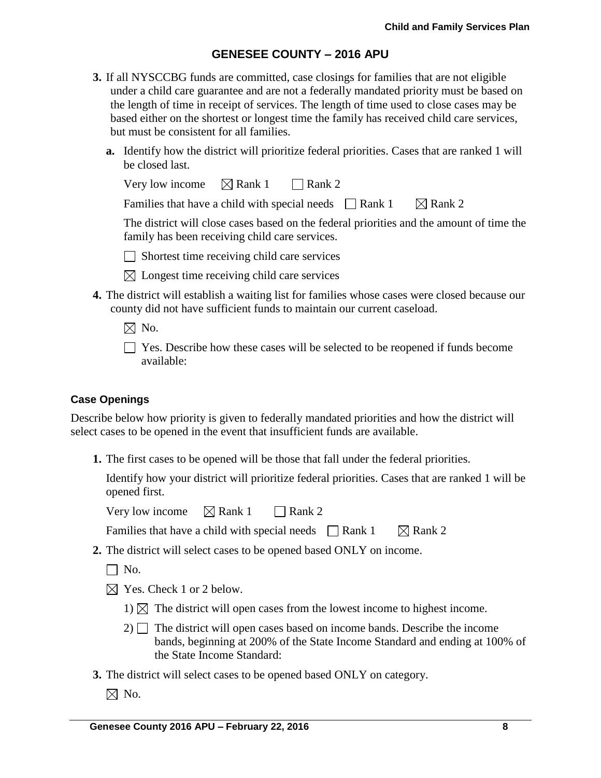- **3.** If all NYSCCBG funds are committed, case closings for families that are not eligible under a child care guarantee and are not a federally mandated priority must be based on the length of time in receipt of services. The length of time used to close cases may be based either on the shortest or longest time the family has received child care services, but must be consistent for all families.
	- **a.** Identify how the district will prioritize federal priorities. Cases that are ranked 1 will be closed last.

| Very low income | $\boxtimes$ Rank 1 | $\Box$ Rank 2 |
|-----------------|--------------------|---------------|
|-----------------|--------------------|---------------|

Families that have a child with special needs  $\Box$  Rank 1  $\Box$  Rank 2

The district will close cases based on the federal priorities and the amount of time the family has been receiving child care services.

 $\Box$  Shortest time receiving child care services

- $\boxtimes$  Longest time receiving child care services
- **4.** The district will establish a waiting list for families whose cases were closed because our county did not have sufficient funds to maintain our current caseload.
	- $\boxtimes$  No.
	- Yes. Describe how these cases will be selected to be reopened if funds become available:

### **Case Openings**

Describe below how priority is given to federally mandated priorities and how the district will select cases to be opened in the event that insufficient funds are available.

**1.** The first cases to be opened will be those that fall under the federal priorities.

Identify how your district will prioritize federal priorities. Cases that are ranked 1 will be opened first.

Very low income  $\boxtimes$  Rank 1 Rank 2

Families that have a child with special needs  $\Box$  Rank 1  $\Box$  Rank 2

- **2.** The district will select cases to be opened based ONLY on income.
	- $\Box$  No.
	- $\boxtimes$  Yes. Check 1 or 2 below.
		- 1)  $\boxtimes$  The district will open cases from the lowest income to highest income.
		- $2)$  The district will open cases based on income bands. Describe the income bands, beginning at 200% of the State Income Standard and ending at 100% of the State Income Standard:
- **3.** The district will select cases to be opened based ONLY on category.
	- $\boxtimes$  No.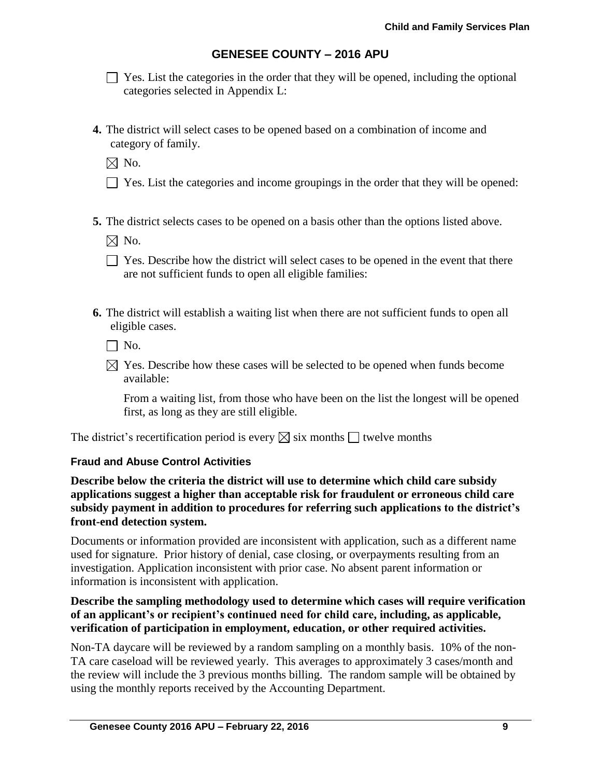$\Box$  Yes. List the categories in the order that they will be opened, including the optional categories selected in Appendix L:

**4.** The district will select cases to be opened based on a combination of income and category of family.

 $\boxtimes$  No.

- $\Box$  Yes. List the categories and income groupings in the order that they will be opened:
- **5.** The district selects cases to be opened on a basis other than the options listed above.

 $\boxtimes$  No.

- $\Box$  Yes. Describe how the district will select cases to be opened in the event that there are not sufficient funds to open all eligible families:
- **6.** The district will establish a waiting list when there are not sufficient funds to open all eligible cases.

 $\Box$  No.

 $\boxtimes$  Yes. Describe how these cases will be selected to be opened when funds become available:

From a waiting list, from those who have been on the list the longest will be opened first, as long as they are still eligible.

The district's recertification period is every  $\boxtimes$  six months  $\Box$  twelve months

### **Fraud and Abuse Control Activities**

**Describe below the criteria the district will use to determine which child care subsidy applications suggest a higher than acceptable risk for fraudulent or erroneous child care subsidy payment in addition to procedures for referring such applications to the district's front-end detection system.**

Documents or information provided are inconsistent with application, such as a different name used for signature. Prior history of denial, case closing, or overpayments resulting from an investigation. Application inconsistent with prior case. No absent parent information or information is inconsistent with application.

### **Describe the sampling methodology used to determine which cases will require verification of an applicant's or recipient's continued need for child care, including, as applicable, verification of participation in employment, education, or other required activities.**

Non-TA daycare will be reviewed by a random sampling on a monthly basis. 10% of the non-TA care caseload will be reviewed yearly. This averages to approximately 3 cases/month and the review will include the 3 previous months billing. The random sample will be obtained by using the monthly reports received by the Accounting Department.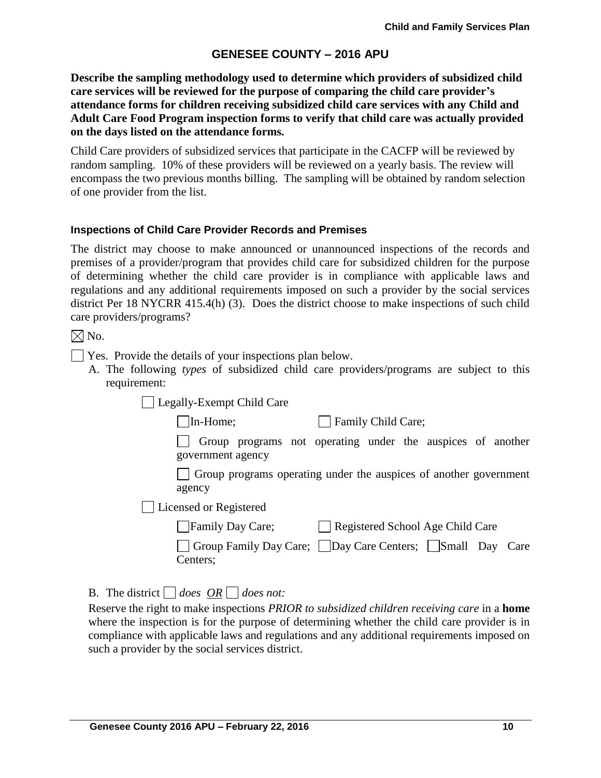**Describe the sampling methodology used to determine which providers of subsidized child care services will be reviewed for the purpose of comparing the child care provider's attendance forms for children receiving subsidized child care services with any Child and Adult Care Food Program inspection forms to verify that child care was actually provided on the days listed on the attendance forms.** 

Child Care providers of subsidized services that participate in the CACFP will be reviewed by random sampling. 10% of these providers will be reviewed on a yearly basis. The review will encompass the two previous months billing. The sampling will be obtained by random selection of one provider from the list.

### **Inspections of Child Care Provider Records and Premises**

The district may choose to make announced or unannounced inspections of the records and premises of a provider/program that provides child care for subsidized children for the purpose of determining whether the child care provider is in compliance with applicable laws and regulations and any additional requirements imposed on such a provider by the social services district Per 18 NYCRR 415.4(h) (3). Does the district choose to make inspections of such child care providers/programs?

 $\boxtimes$  No.

- Yes. Provide the details of your inspections plan below.
	- A. The following *types* of subsidized child care providers/programs are subject to this requirement:

Legally-Exempt Child Care

In-Home; Family Child Care;

Group programs not operating under the auspices of another government agency

Group programs operating under the auspices of another government agency

Licensed or Registered

| Family Day Care; | Registered School Age Child Care |
|------------------|----------------------------------|
|                  |                                  |

Group Family Day Care; Day Care Centers; Small Day Care Centers;

B. The district  $\Box$  does  $\overline{OR} \Box$  does not:

Reserve the right to make inspections *PRIOR to subsidized children receiving care* in a **home** where the inspection is for the purpose of determining whether the child care provider is in compliance with applicable laws and regulations and any additional requirements imposed on such a provider by the social services district.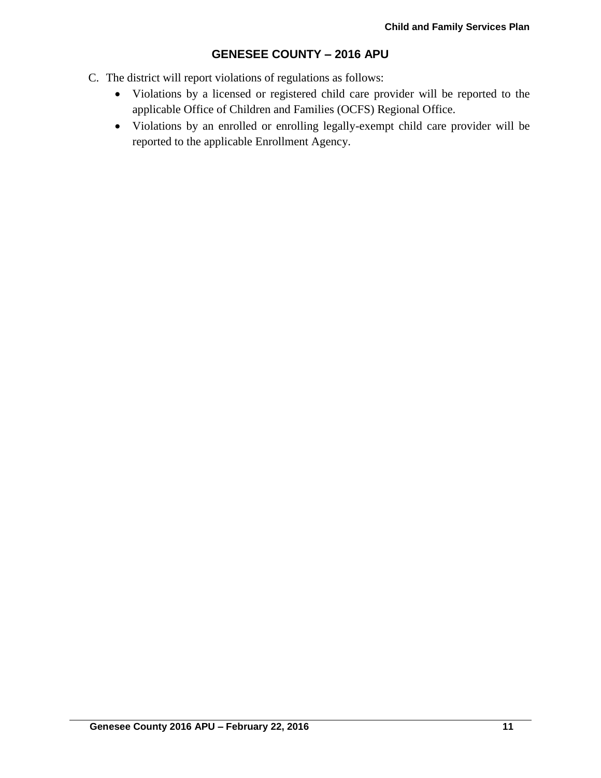- C. The district will report violations of regulations as follows:
	- Violations by a licensed or registered child care provider will be reported to the applicable Office of Children and Families (OCFS) Regional Office.
	- Violations by an enrolled or enrolling legally-exempt child care provider will be reported to the applicable Enrollment Agency.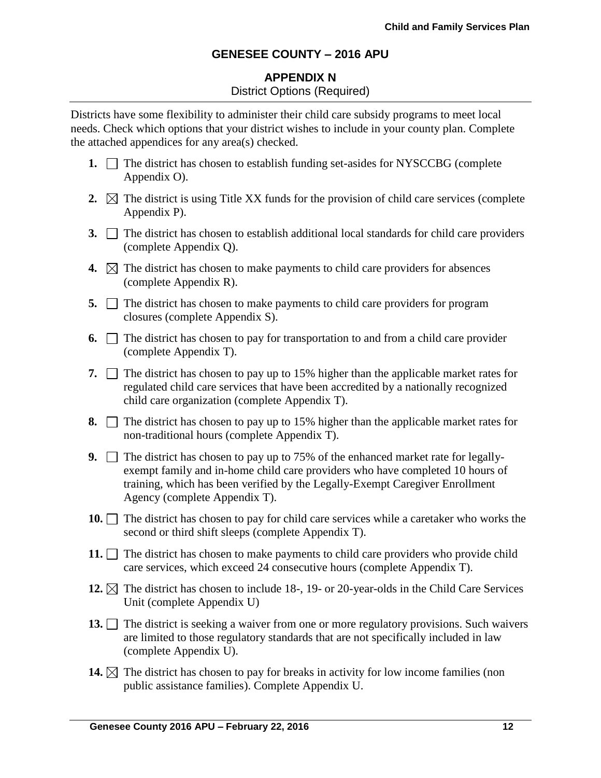## **APPENDIX N** District Options (Required)

Districts have some flexibility to administer their child care subsidy programs to meet local needs. Check which options that your district wishes to include in your county plan. Complete the attached appendices for any area(s) checked.

- **1.**  $\Box$  The district has chosen to establish funding set-asides for NYSCCBG (complete Appendix O).
- **2.**  $\boxtimes$  The district is using Title XX funds for the provision of child care services (complete Appendix P).
- **3.** The district has chosen to establish additional local standards for child care providers (complete Appendix Q).
- **4.**  $\boxtimes$  The district has chosen to make payments to child care providers for absences (complete Appendix R).
- **5.**  $\Box$  The district has chosen to make payments to child care providers for program closures (complete Appendix S).
- **6.**  $\Box$  The district has chosen to pay for transportation to and from a child care provider (complete Appendix T).
- **7.**  $\Box$  The district has chosen to pay up to 15% higher than the applicable market rates for regulated child care services that have been accredited by a nationally recognized child care organization (complete Appendix T).
- **8.**  $\Box$  The district has chosen to pay up to 15% higher than the applicable market rates for non-traditional hours (complete Appendix T).
- **9.** The district has chosen to pay up to 75% of the enhanced market rate for legallyexempt family and in-home child care providers who have completed 10 hours of training, which has been verified by the Legally-Exempt Caregiver Enrollment Agency (complete Appendix T).
- **10.** The district has chosen to pay for child care services while a caretaker who works the second or third shift sleeps (complete Appendix T).
- **11.**  $\Box$  The district has chosen to make payments to child care providers who provide child care services, which exceed 24 consecutive hours (complete Appendix T).
- **12.**  $\boxtimes$  The district has chosen to include 18-, 19- or 20-year-olds in the Child Care Services Unit (complete Appendix U)
- 13. The district is seeking a waiver from one or more regulatory provisions. Such waivers are limited to those regulatory standards that are not specifically included in law (complete Appendix U).
- **14.**  $\boxtimes$  The district has chosen to pay for breaks in activity for low income families (non public assistance families). Complete Appendix U.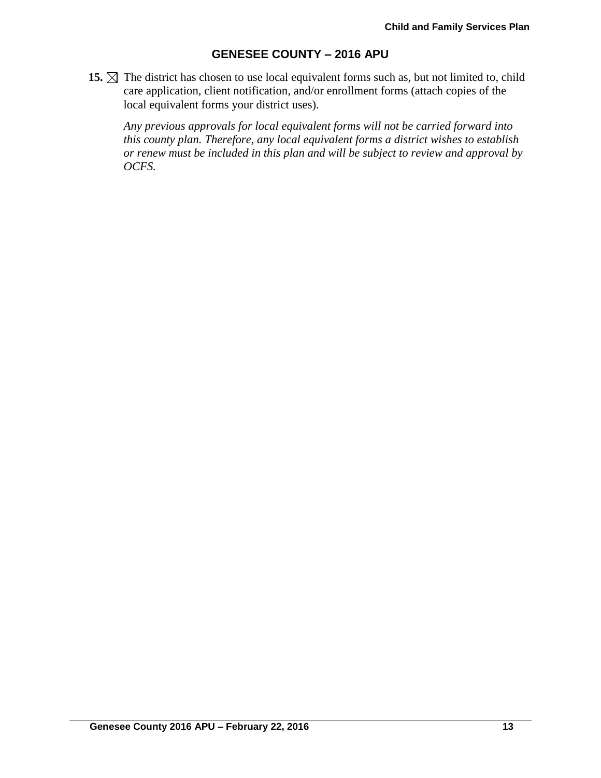**15.**  $\boxtimes$  The district has chosen to use local equivalent forms such as, but not limited to, child care application, client notification, and/or enrollment forms (attach copies of the local equivalent forms your district uses).

*Any previous approvals for local equivalent forms will not be carried forward into this county plan. Therefore, any local equivalent forms a district wishes to establish or renew must be included in this plan and will be subject to review and approval by OCFS.*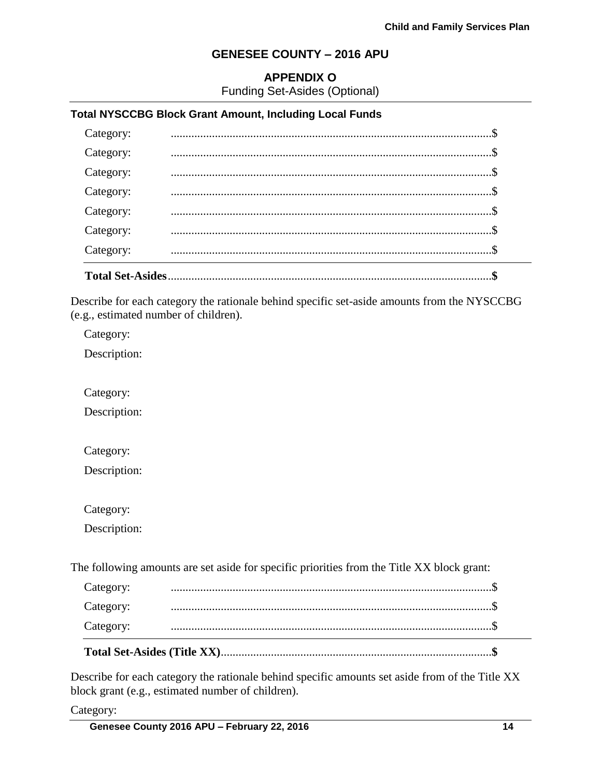## **APPENDIX O**

Funding Set-Asides (Optional)

### **Total NYSCCBG Block Grant Amount, Including Local Funds**

| Category:               |  |
|-------------------------|--|
| Category:               |  |
| Category:               |  |
| Category:               |  |
| Category:               |  |
| Category:               |  |
| Category:               |  |
| <b>Total Set-Asides</b> |  |

Describe for each category the rationale behind specific set-aside amounts from the NYSCCBG (e.g., estimated number of children).

Category:

Description:

Category:

Description:

Category:

Description:

Category:

Description:

The following amounts are set aside for specific priorities from the Title XX block grant:

| Category: |  |
|-----------|--|
| Category: |  |
| Category: |  |

Describe for each category the rationale behind specific amounts set aside from of the Title XX block grant (e.g., estimated number of children).

Category: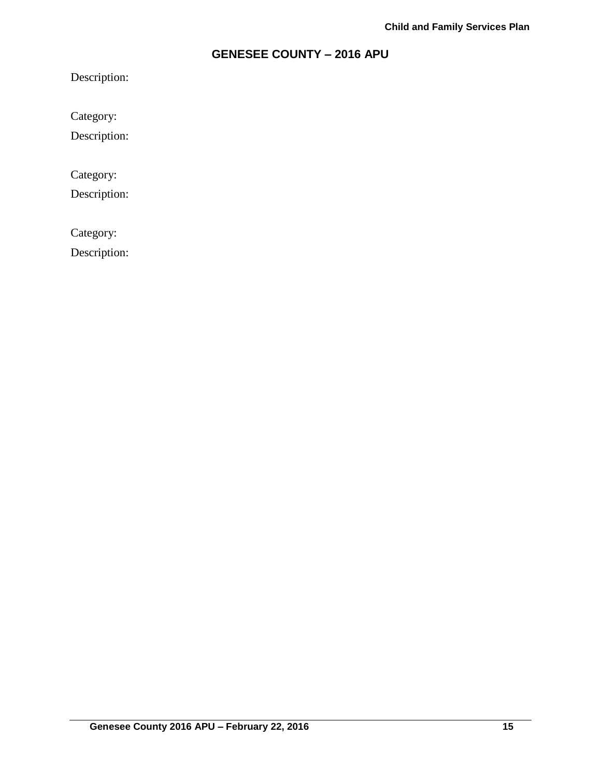Description:

Category:

Description:

Category:

Description:

Category:

Description: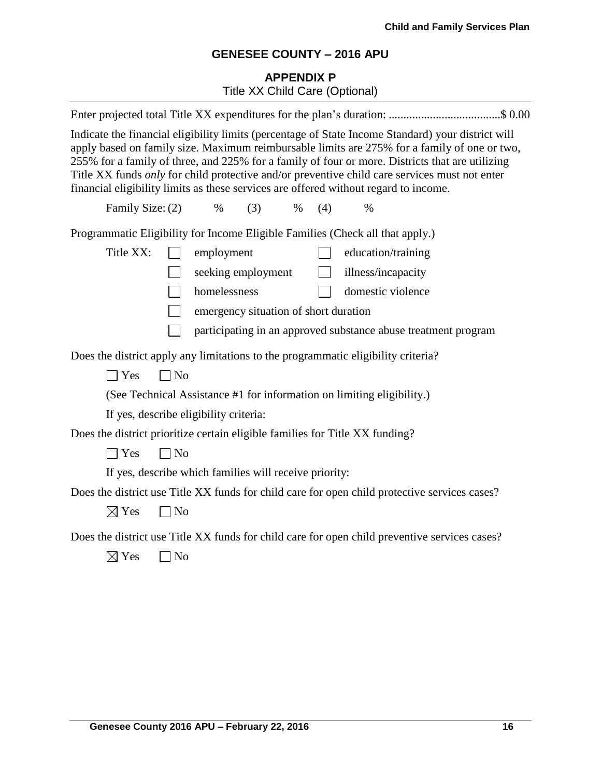# **APPENDIX P** Title XX Child Care (Optional)

| Enter projected total Title XX expenditures for the plan's duration: \$ 0.00                                                                                                                                                                                                                                                                                                                                                                                                                   |  |  |
|------------------------------------------------------------------------------------------------------------------------------------------------------------------------------------------------------------------------------------------------------------------------------------------------------------------------------------------------------------------------------------------------------------------------------------------------------------------------------------------------|--|--|
| Indicate the financial eligibility limits (percentage of State Income Standard) your district will<br>apply based on family size. Maximum reimbursable limits are 275% for a family of one or two,<br>255% for a family of three, and 225% for a family of four or more. Districts that are utilizing<br>Title XX funds only for child protective and/or preventive child care services must not enter<br>financial eligibility limits as these services are offered without regard to income. |  |  |
| Family Size: (2)<br>$\%$<br>(3)<br>(4)<br>$\%$<br>$\%$                                                                                                                                                                                                                                                                                                                                                                                                                                         |  |  |
| Programmatic Eligibility for Income Eligible Families (Check all that apply.)                                                                                                                                                                                                                                                                                                                                                                                                                  |  |  |
| Title XX:<br>employment<br>education/training                                                                                                                                                                                                                                                                                                                                                                                                                                                  |  |  |
| seeking employment<br>illness/incapacity<br>$\mathbb{R}$                                                                                                                                                                                                                                                                                                                                                                                                                                       |  |  |
| homelessness<br>domestic violence                                                                                                                                                                                                                                                                                                                                                                                                                                                              |  |  |
| emergency situation of short duration                                                                                                                                                                                                                                                                                                                                                                                                                                                          |  |  |
| participating in an approved substance abuse treatment program                                                                                                                                                                                                                                                                                                                                                                                                                                 |  |  |
| Does the district apply any limitations to the programmatic eligibility criteria?                                                                                                                                                                                                                                                                                                                                                                                                              |  |  |
| $\neg$ No<br>$\exists$ Yes                                                                                                                                                                                                                                                                                                                                                                                                                                                                     |  |  |
| (See Technical Assistance #1 for information on limiting eligibility.)                                                                                                                                                                                                                                                                                                                                                                                                                         |  |  |
| If yes, describe eligibility criteria:                                                                                                                                                                                                                                                                                                                                                                                                                                                         |  |  |
| Does the district prioritize certain eligible families for Title XX funding?                                                                                                                                                                                                                                                                                                                                                                                                                   |  |  |
| $\neg$ No<br>$\exists$ Yes                                                                                                                                                                                                                                                                                                                                                                                                                                                                     |  |  |
| If yes, describe which families will receive priority:                                                                                                                                                                                                                                                                                                                                                                                                                                         |  |  |
| Does the district use Title XX funds for child care for open child protective services cases?                                                                                                                                                                                                                                                                                                                                                                                                  |  |  |
| $\boxtimes$ Yes<br>$\Box$ No                                                                                                                                                                                                                                                                                                                                                                                                                                                                   |  |  |
| Does the district use Title XX funds for child care for open child preventive services cases?<br>$\boxtimes$ Yes<br>N <sub>o</sub>                                                                                                                                                                                                                                                                                                                                                             |  |  |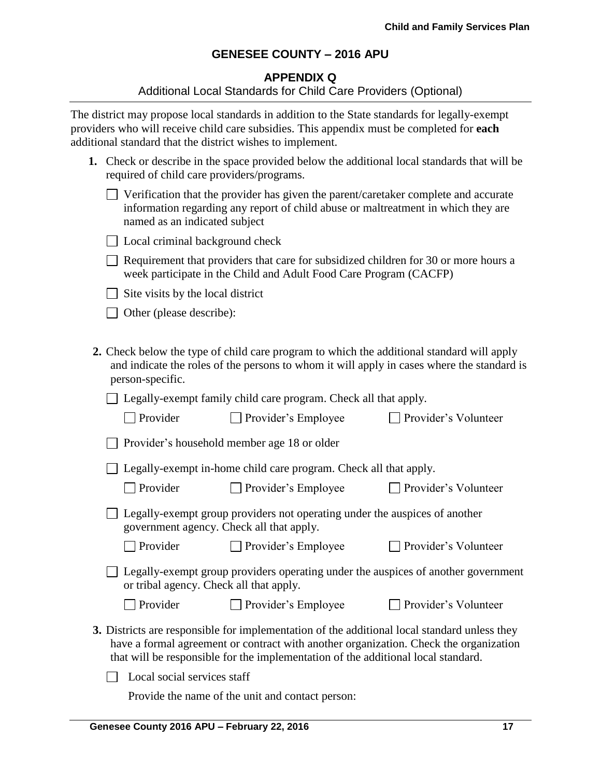### **APPENDIX Q**

#### Additional Local Standards for Child Care Providers (Optional)

The district may propose local standards in addition to the State standards for legally-exempt providers who will receive child care subsidies. This appendix must be completed for **each** additional standard that the district wishes to implement.

| 1. Check or describe in the space provided below the additional local standards that will be |
|----------------------------------------------------------------------------------------------|
| required of child care providers/programs.                                                   |

| $\Box$ Verification that the provider has given the parent/caretaker complete and accurate |
|--------------------------------------------------------------------------------------------|
| information regarding any report of child abuse or maltreatment in which they are          |
| named as an indicated subject                                                              |

| □ Local criminal background check |  |  |  |  |  |
|-----------------------------------|--|--|--|--|--|
|-----------------------------------|--|--|--|--|--|

 $\Box$  Requirement that providers that care for subsidized children for 30 or more hours a week participate in the Child and Adult Food Care Program (CACFP)

 $\Box$  Site visits by the local district

 $\Box$  Other (please describe):

**2.** Check below the type of child care program to which the additional standard will apply and indicate the roles of the persons to whom it will apply in cases where the standard is person-specific.

□ Legally-exempt family child care program. Check all that apply.

| $\Box$ Provider | $\Box$ Provider's Employee | Provider's Volunteer |
|-----------------|----------------------------|----------------------|
|-----------------|----------------------------|----------------------|

Provider's household member age 18 or older

 $\Box$  Legally-exempt in-home child care program. Check all that apply.

□ Provider □ Provider's Employee □ Provider's Volunteer

 $\Box$  Provider's Volunteer

| $\Box$ Legally-exempt group providers not operating under the auspices of another |
|-----------------------------------------------------------------------------------|
| government agency. Check all that apply.                                          |

Provider Provider's Employee Provider's Volunteer

Legally-exempt group providers operating under the auspices of another government or tribal agency. Check all that apply.

| $\Box$ Provider | $\Box$ Provider's Employee |  |
|-----------------|----------------------------|--|
|                 |                            |  |

**3.** Districts are responsible for implementation of the additional local standard unless they have a formal agreement or contract with another organization. Check the organization that will be responsible for the implementation of the additional local standard.

 $\Box$  Local social services staff

Provide the name of the unit and contact person: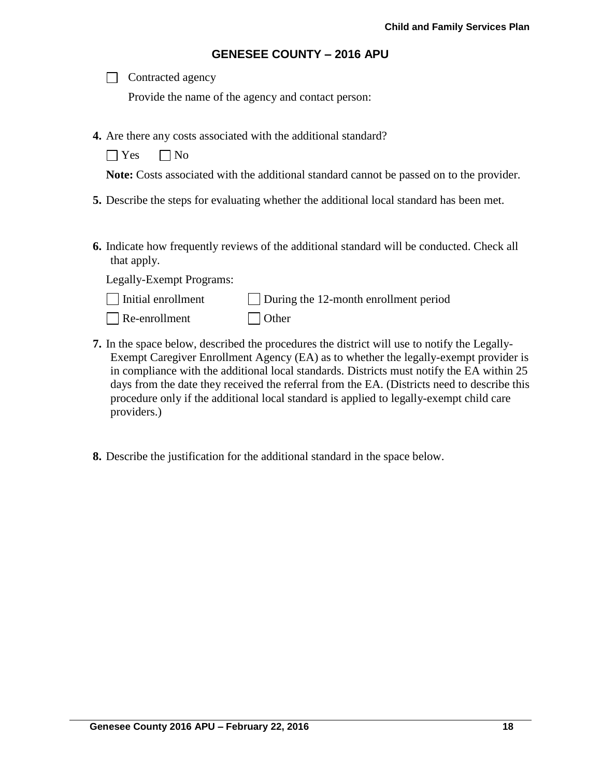| Contracted agency |  |
|-------------------|--|
|-------------------|--|

Provide the name of the agency and contact person:

- **4.** Are there any costs associated with the additional standard?
	- $\bigcap$  Yes  $\bigcap$  No

**Note:** Costs associated with the additional standard cannot be passed on to the provider.

- **5.** Describe the steps for evaluating whether the additional local standard has been met.
- **6.** Indicate how frequently reviews of the additional standard will be conducted. Check all that apply.

Legally-Exempt Programs:

| $\Box$ Initial enrollment | $\Box$ During the 12-month enrollment period |
|---------------------------|----------------------------------------------|
|---------------------------|----------------------------------------------|

- Re-enrollment Other
- **7.** In the space below, described the procedures the district will use to notify the Legally-Exempt Caregiver Enrollment Agency (EA) as to whether the legally-exempt provider is in compliance with the additional local standards. Districts must notify the EA within 25 days from the date they received the referral from the EA. (Districts need to describe this procedure only if the additional local standard is applied to legally-exempt child care providers.)
- **8.** Describe the justification for the additional standard in the space below.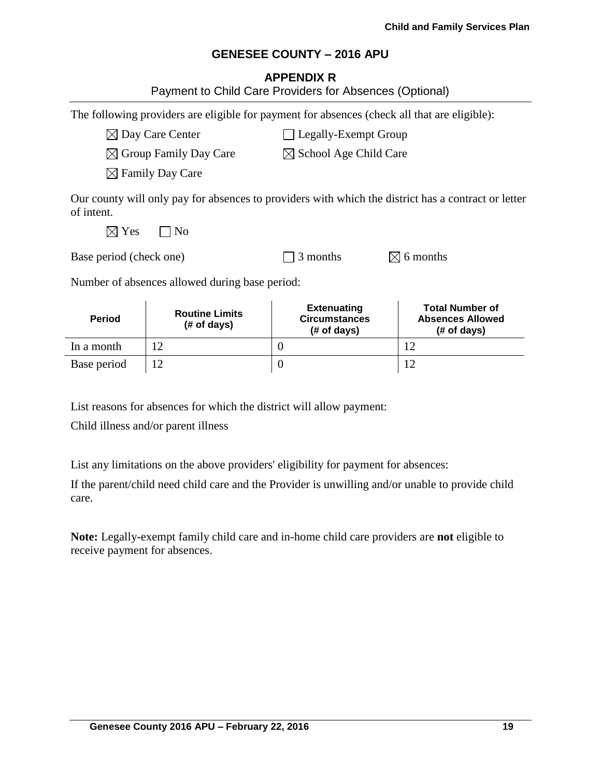### **APPENDIX R**

| <b>Period</b>                                           | <b>Routine Limits</b><br>(# of days)                                                         | <b>Extenuating</b><br><b>Circumstances</b><br>(# of days) | <b>Total Number of</b><br><b>Absences Allowed</b><br>(# of days)                                    |
|---------------------------------------------------------|----------------------------------------------------------------------------------------------|-----------------------------------------------------------|-----------------------------------------------------------------------------------------------------|
| Number of absences allowed during base period:          |                                                                                              |                                                           |                                                                                                     |
| Base period (check one)                                 |                                                                                              | 3 months                                                  | $\boxtimes$ 6 months                                                                                |
| $\boxtimes$ Yes                                         | N <sub>0</sub>                                                                               |                                                           |                                                                                                     |
| of intent.                                              |                                                                                              |                                                           | Our county will only pay for absences to providers with which the district has a contract or letter |
|                                                         | $\boxtimes$ Family Day Care                                                                  |                                                           |                                                                                                     |
|                                                         | $\boxtimes$ Group Family Day Care                                                            | $\boxtimes$ School Age Child Care                         |                                                                                                     |
|                                                         | $\boxtimes$ Day Care Center                                                                  | Legally-Exempt Group                                      |                                                                                                     |
|                                                         | The following providers are eligible for payment for absences (check all that are eligible): |                                                           |                                                                                                     |
| Payment to Child Care Providers for Absences (Optional) |                                                                                              |                                                           |                                                                                                     |

List reasons for absences for which the district will allow payment:

In a month  $12$  0 12 Base period  $12$  0 12

Child illness and/or parent illness

List any limitations on the above providers' eligibility for payment for absences:

If the parent/child need child care and the Provider is unwilling and/or unable to provide child care.

**Note:** Legally-exempt family child care and in-home child care providers are **not** eligible to receive payment for absences.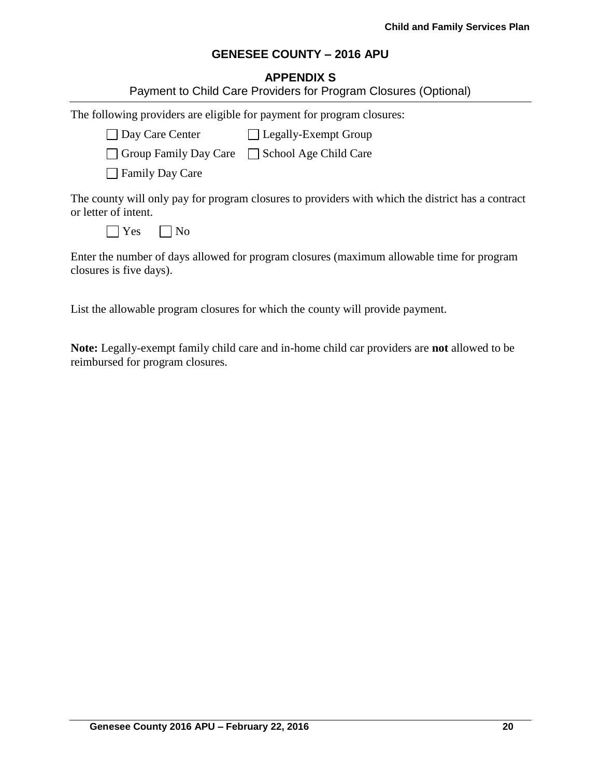# **APPENDIX S**

|                                                                        | Payment to Child Care Providers for Program Closures (Optional)                                   |
|------------------------------------------------------------------------|---------------------------------------------------------------------------------------------------|
| The following providers are eligible for payment for program closures: |                                                                                                   |
| Day Care Center Legally-Exempt Group                                   |                                                                                                   |
| □ Group Family Day Care □ School Age Child Care                        |                                                                                                   |
| <b>Family Day Care</b>                                                 |                                                                                                   |
| or letter of intent.                                                   | The county will only pay for program closures to providers with which the district has a contract |
| $\vert$ Yes<br>  No                                                    |                                                                                                   |
| closures is five days).                                                | Enter the number of days allowed for program closures (maximum allowable time for program         |

List the allowable program closures for which the county will provide payment.

**Note:** Legally-exempt family child care and in-home child car providers are **not** allowed to be reimbursed for program closures.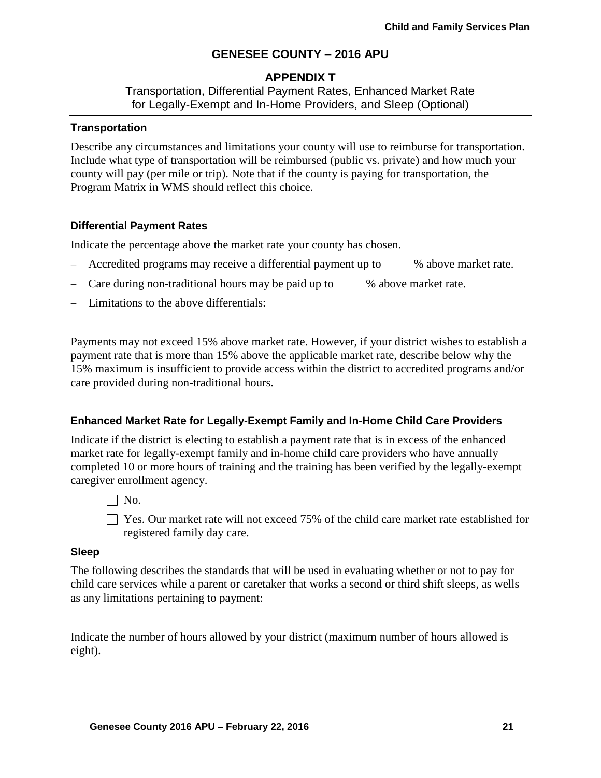## **APPENDIX T**

Transportation, Differential Payment Rates, Enhanced Market Rate for Legally-Exempt and In-Home Providers, and Sleep (Optional)

### **Transportation**

Describe any circumstances and limitations your county will use to reimburse for transportation. Include what type of transportation will be reimbursed (public vs. private) and how much your county will pay (per mile or trip). Note that if the county is paying for transportation, the Program Matrix in WMS should reflect this choice.

## **Differential Payment Rates**

Indicate the percentage above the market rate your county has chosen.

- Accredited programs may receive a differential payment up to % above market rate.
- Care during non-traditional hours may be paid up to % above market rate.
- Limitations to the above differentials:

Payments may not exceed 15% above market rate. However, if your district wishes to establish a payment rate that is more than 15% above the applicable market rate, describe below why the 15% maximum is insufficient to provide access within the district to accredited programs and/or care provided during non-traditional hours.

### **Enhanced Market Rate for Legally-Exempt Family and In-Home Child Care Providers**

Indicate if the district is electing to establish a payment rate that is in excess of the enhanced market rate for legally-exempt family and in-home child care providers who have annually completed 10 or more hours of training and the training has been verified by the legally-exempt caregiver enrollment agency.

 $\Box$  No.

□ Yes. Our market rate will not exceed 75% of the child care market rate established for registered family day care.

### **Sleep**

The following describes the standards that will be used in evaluating whether or not to pay for child care services while a parent or caretaker that works a second or third shift sleeps, as wells as any limitations pertaining to payment:

Indicate the number of hours allowed by your district (maximum number of hours allowed is eight).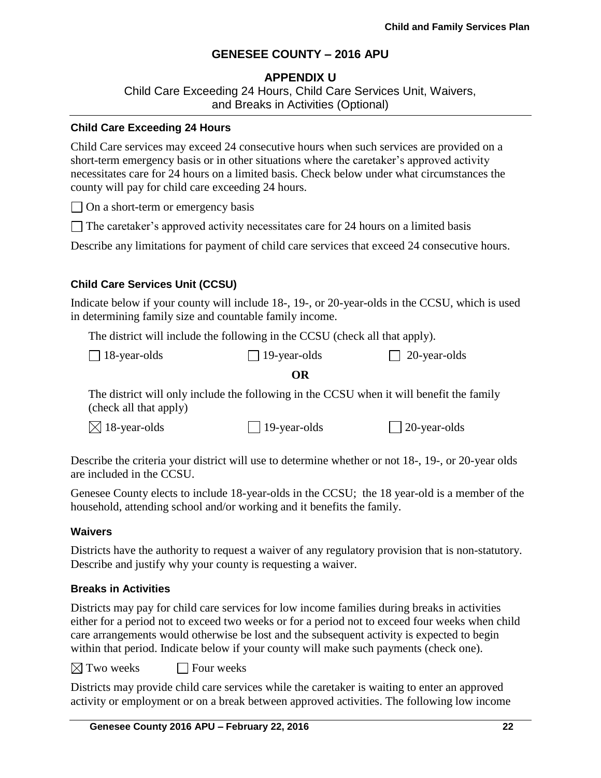## **APPENDIX U**

Child Care Exceeding 24 Hours, Child Care Services Unit, Waivers, and Breaks in Activities (Optional)

### **Child Care Exceeding 24 Hours**

Child Care services may exceed 24 consecutive hours when such services are provided on a short-term emergency basis or in other situations where the caretaker's approved activity necessitates care for 24 hours on a limited basis. Check below under what circumstances the county will pay for child care exceeding 24 hours.

 $\Box$  On a short-term or emergency basis

 $\Box$  The caretaker's approved activity necessitates care for 24 hours on a limited basis

Describe any limitations for payment of child care services that exceed 24 consecutive hours.

## **Child Care Services Unit (CCSU)**

Indicate below if your county will include 18-, 19-, or 20-year-olds in the CCSU, which is used in determining family size and countable family income.

The district will include the following in the CCSU (check all that apply).

| $\Box$ 18-year-olds | $\Box$ 19-year-olds | $\Box$ 20-year-olds |
|---------------------|---------------------|---------------------|
|---------------------|---------------------|---------------------|

### **OR**

The district will only include the following in the CCSU when it will benefit the family (check all that apply)

 $\boxtimes$  18-year-olds 19-year-olds 20-year-olds

Describe the criteria your district will use to determine whether or not 18-, 19-, or 20-year olds are included in the CCSU.

Genesee County elects to include 18-year-olds in the CCSU; the 18 year-old is a member of the household, attending school and/or working and it benefits the family.

### **Waivers**

Districts have the authority to request a waiver of any regulatory provision that is non-statutory. Describe and justify why your county is requesting a waiver.

### **Breaks in Activities**

Districts may pay for child care services for low income families during breaks in activities either for a period not to exceed two weeks or for a period not to exceed four weeks when child care arrangements would otherwise be lost and the subsequent activity is expected to begin within that period. Indicate below if your county will make such payments (check one).

 $\boxtimes$  Two weeks  $\Box$  Four weeks

Districts may provide child care services while the caretaker is waiting to enter an approved activity or employment or on a break between approved activities. The following low income